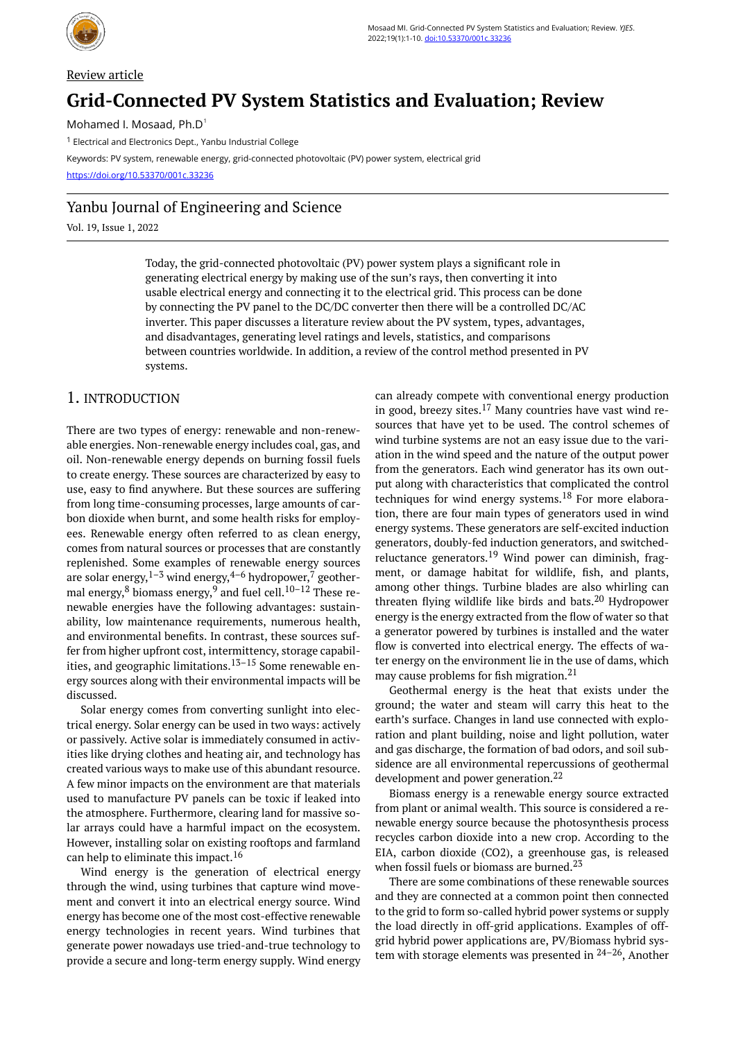

# Review article **Grid-Connected PV System Statistics and Evaluation; Review**

Mohamed I. Mosaad, Ph.D<sup>1</sup>

<sup>1</sup> Electrical and Electronics Dept., Yanbu Industrial College

Keywords: PV system, renewable energy, grid-connected photovoltaic (PV) power system, electrical grid

<https://doi.org/10.53370/001c.33236>

# Yanbu Journal of Engineering and Science

Vol. 19, Issue 1, 2022

Today, the grid-connected photovoltaic (PV) power system plays a significant role in generating electrical energy by making use of the sun's rays, then converting it into usable electrical energy and connecting it to the electrical grid. This process can be done by connecting the PV panel to the DC/DC converter then there will be a controlled DC/AC inverter. This paper discusses a literature review about the PV system, types, advantages, and disadvantages, generating level ratings and levels, statistics, and comparisons between countries worldwide. In addition, a review of the control method presented in PV systems.

# 1. INTRODUCTION

There are two types of energy: renewable and non-renewable energies. Non-renewable energy includes coal, gas, and oil. Non-renewable energy depends on burning fossil fuels to create energy. These sources are characterized by easy to use, easy to find anywhere. But these sources are suffering from long time-consuming processes, large amounts of carbon dioxide when burnt, and some health risks for employees. Renewable energy often referred to as clean energy, comes from natural sources or processes that are constantly replenished. Some examples of renewable energy sources are solar energy,  $1-3$  wind energy,  $4-6$  hydropower,  $7$  geothermal energy, $8$  biomass energy, $9$  and fuel cell. $10-12$  These renewable energies have the following advantages: sustainability, low maintenance requirements, numerous health, and environmental benefits. In contrast, these sources suffer from higher upfront cost, intermittency, storage capabilities, and geographic limitations. $13-15$  Some renewable energy sources along with their environmental impacts will be discussed.

Solar energy comes from converting sunlight into electrical energy. Solar energy can be used in two ways: actively or passively. Active solar is immediately consumed in activities like drying clothes and heating air, and technology has created various ways to make use of this abundant resource. A few minor impacts on the environment are that materials used to manufacture PV panels can be toxic if leaked into the atmosphere. Furthermore, clearing land for massive solar arrays could have a harmful impact on the ecosystem. However, installing solar on existing rooftops and farmland can help to eliminate this impact.<sup>16</sup>

Wind energy is the generation of electrical energy through the wind, using turbines that capture wind movement and convert it into an electrical energy source. Wind energy has become one of the most cost-effective renewable energy technologies in recent years. Wind turbines that generate power nowadays use tried-and-true technology to provide a secure and long-term energy supply. Wind energy

can already compete with conventional energy production in good, breezy sites.<sup>17</sup> Many countries have vast wind resources that have yet to be used. The control schemes of wind turbine systems are not an easy issue due to the variation in the wind speed and the nature of the output power from the generators. Each wind generator has its own output along with characteristics that complicated the control techniques for wind energy systems.<sup>18</sup> For more elaboration, there are four main types of generators used in wind energy systems. These generators are self-excited induction generators, doubly-fed induction generators, and switchedreluctance generators.<sup>19</sup> Wind power can diminish, fragment, or damage habitat for wildlife, fish, and plants, among other things. Turbine blades are also whirling can threaten flying wildlife like birds and bats.<sup>20</sup> Hydropower energy is the energy extracted from the flow of water so that a generator powered by turbines is installed and the water flow is converted into electrical energy. The effects of water energy on the environment lie in the use of dams, which may cause problems for fish migration.<sup>21</sup>

Geothermal energy is the heat that exists under the ground; the water and steam will carry this heat to the earth's surface. Changes in land use connected with exploration and plant building, noise and light pollution, water and gas discharge, the formation of bad odors, and soil subsidence are all environmental repercussions of geothermal development and power generation.<sup>22</sup>

Biomass energy is a renewable energy source extracted from plant or animal wealth. This source is considered a renewable energy source because the photosynthesis process recycles carbon dioxide into a new crop. According to the EIA, carbon dioxide (CO2), a greenhouse gas, is released when fossil fuels or biomass are burned.<sup>23</sup>

There are some combinations of these renewable sources and they are connected at a common point then connected to the grid to form so-called hybrid power systems or supply the load directly in off-grid applications. Examples of offgrid hybrid power applications are, PV/Biomass hybrid system with storage elements was presented in  $24-26$ , Another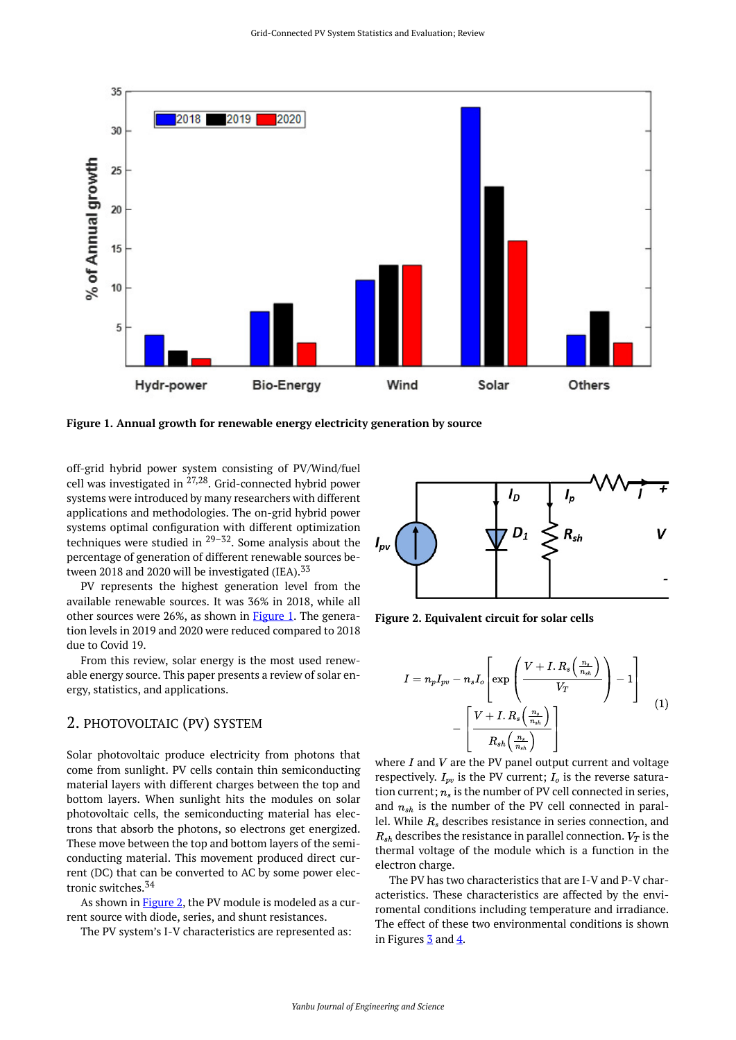<span id="page-1-0"></span>

**Figure 1. Annual growth for renewable energy electricity generation by source** 

<span id="page-1-1"></span>off-grid hybrid power system consisting of PV/Wind/fuel cell was investigated in 27,28. Grid-connected hybrid power systems were introduced by many researchers with different applications and methodologies. The on-grid hybrid power systems optimal configuration with different optimization techniques were studied in  $29-32$ . Some analysis about the percentage of generation of different renewable sources between 2018 and 2020 will be investigated (IEA).<sup>33</sup>

PV represents the highest generation level from the available renewable sources. It was 36% in 2018, while all other sources were 26%, as shown in [Figure 1.](#page-1-0) The generation levels in 2019 and 2020 were reduced compared to 2018 due to Covid 19.

From this review, solar energy is the most used renewable energy source. This paper presents a review of solar energy, statistics, and applications.

## 2. PHOTOVOLTAIC (PV) SYSTEM

Solar photovoltaic produce electricity from photons that come from sunlight. PV cells contain thin semiconducting material layers with different charges between the top and bottom layers. When sunlight hits the modules on solar photovoltaic cells, the semiconducting material has electrons that absorb the photons, so electrons get energized. These move between the top and bottom layers of the semiconducting material. This movement produced direct current (DC) that can be converted to AC by some power electronic switches.<sup>34</sup>

As shown in **Figure 2**, the PV module is modeled as a current source with diode, series, and shunt resistances.

The PV system's I-V characteristics are represented as:



**Figure 2. Equivalent circuit for solar cells** 

$$
I=n_pI_{pv}-n_sI_o\left[\exp\left(\frac{V+I.\,R_s\left(\frac{n_s}{n_{sh}}\right)}{V_T}\right)-1\right]\\-\left[\frac{V+I.\,R_s\left(\frac{n_s}{n_{sh}}\right)}{R_{sh}\left(\frac{n_s}{n_{sh}}\right)}\right]\qquad \qquad (1)
$$

where  $I$  and  $V$  are the PV panel output current and voltage respectively.  $I_{pv}$  is the PV current;  $I_o$  is the reverse saturation current;  $n_s$  is the number of PV cell connected in series, and  $n_{sh}$  is the number of the PV cell connected in parallel. While  $R_s$  describes resistance in series connection, and  $R_{sh}$  describes the resistance in parallel connection.  $V_T$  is the thermal voltage of the module which is a function in the electron charge.

The PV has two characteristics that are I-V and P-V characteristics. These characteristics are affected by the enviromental conditions including temperature and irradiance. The effect of these two environmental conditions is shown in Figures  $\frac{3}{2}$  and  $\frac{4}{2}$  $\frac{4}{2}$  $\frac{4}{2}$ .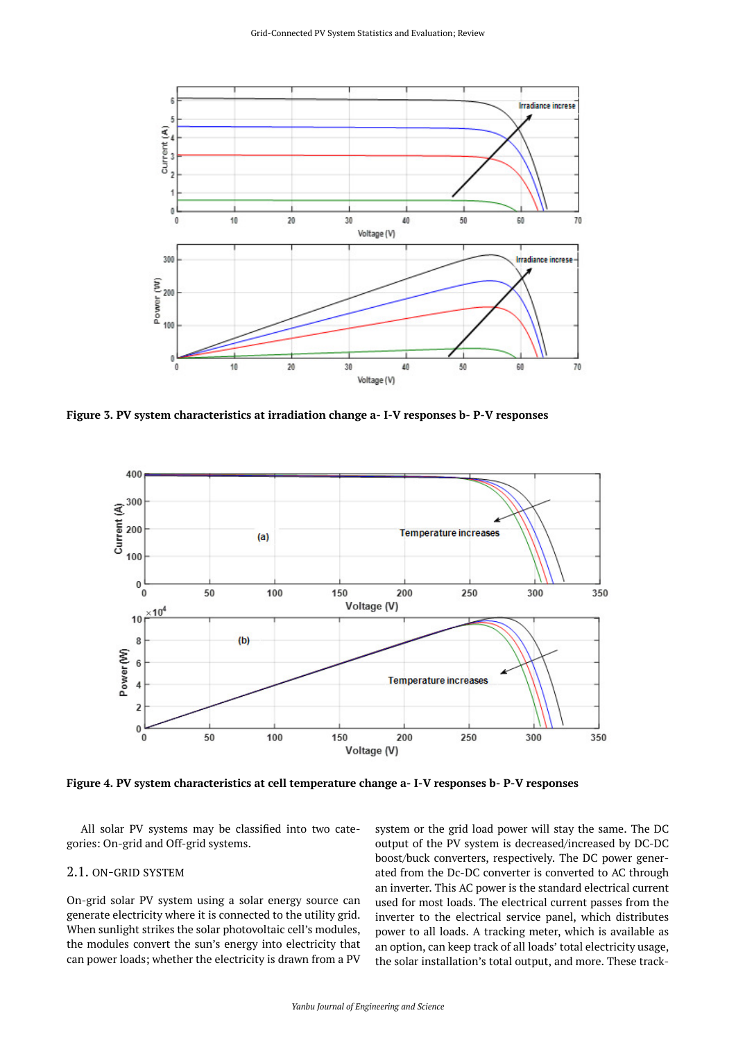<span id="page-2-0"></span>

<span id="page-2-1"></span>**Figure 3. PV system characteristics at irradiation change a- I-V responses b- P-V responses** 



**Figure 4. PV system characteristics at cell temperature change a- I-V responses b- P-V responses** 

All solar PV systems may be classified into two categories: On-grid and Off-grid systems.

#### 2.1. ON-GRID SYSTEM

On-grid solar PV system using a solar energy source can generate electricity where it is connected to the utility grid. When sunlight strikes the solar photovoltaic cell's modules, the modules convert the sun's energy into electricity that can power loads; whether the electricity is drawn from a PV

system or the grid load power will stay the same. The DC output of the PV system is decreased/increased by DC-DC boost/buck converters, respectively. The DC power generated from the Dc-DC converter is converted to AC through an inverter. This AC power is the standard electrical current used for most loads. The electrical current passes from the inverter to the electrical service panel, which distributes power to all loads. A tracking meter, which is available as an option, can keep track of all loads' total electricity usage, the solar installation's total output, and more. These track-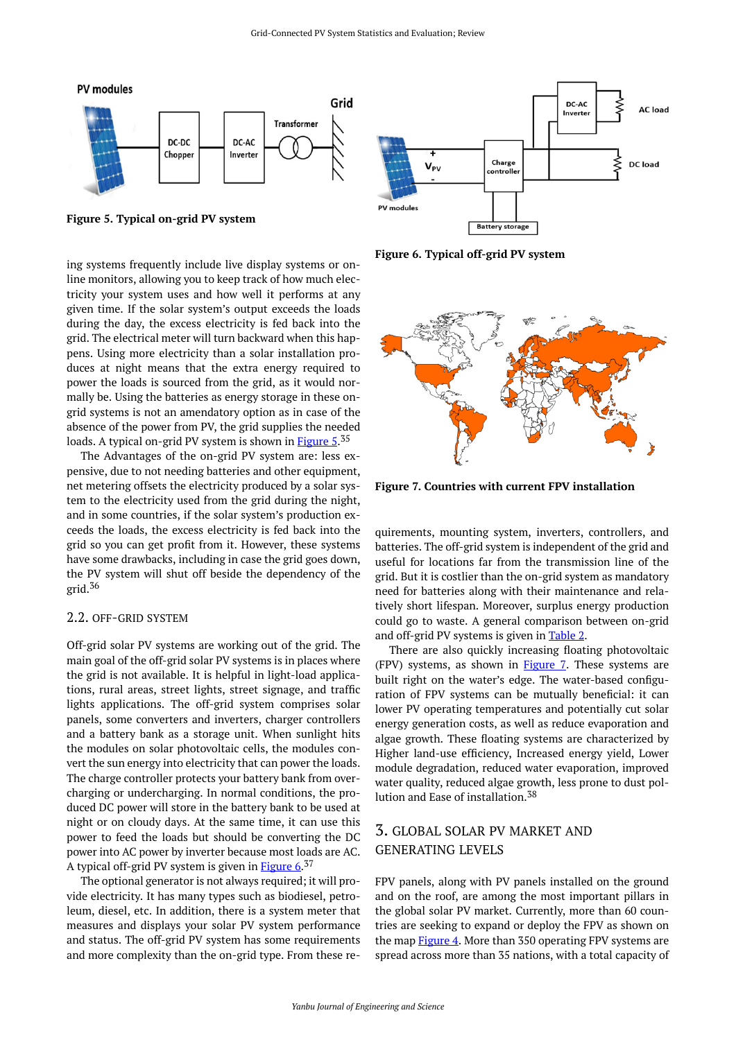<span id="page-3-0"></span>

**Figure 5. Typical on-grid PV system** 

<span id="page-3-1"></span>ing systems frequently include live display systems or online monitors, allowing you to keep track of how much electricity your system uses and how well it performs at any given time. If the solar system's output exceeds the loads during the day, the excess electricity is fed back into the grid. The electrical meter will turn backward when this happens. Using more electricity than a solar installation produces at night means that the extra energy required to power the loads is sourced from the grid, as it would normally be. Using the batteries as energy storage in these ongrid systems is not an amendatory option as in case of the absence of the power from PV, the grid supplies the needed loads. A typical on-grid PV system is shown in [Figure 5.](#page-3-0)<sup>35</sup>

The Advantages of the on-grid PV system are: less expensive, due to not needing batteries and other equipment, net metering offsets the electricity produced by a solar system to the electricity used from the grid during the night, and in some countries, if the solar system's production exceeds the loads, the excess electricity is fed back into the grid so you can get profit from it. However, these systems have some drawbacks, including in case the grid goes down, the PV system will shut off beside the dependency of the grid. $36$ 

#### 2.2. OFF-GRID SYSTEM

Off-grid solar PV systems are working out of the grid. The main goal of the off-grid solar PV systems is in places where the grid is not available. It is helpful in light-load applications, rural areas, street lights, street signage, and traffic lights applications. The off-grid system comprises solar panels, some converters and inverters, charger controllers and a battery bank as a storage unit. When sunlight hits the modules on solar photovoltaic cells, the modules convert the sun energy into electricity that can power the loads. The charge controller protects your battery bank from overcharging or undercharging. In normal conditions, the produced DC power will store in the battery bank to be used at night or on cloudy days. At the same time, it can use this power to feed the loads but should be converting the DC power into AC power by inverter because most loads are AC. A typical off-grid PV system is given in [Figure 6](#page-3-0).<sup>37</sup>

The optional generator is not always required; it will provide electricity. It has many types such as biodiesel, petroleum, diesel, etc. In addition, there is a system meter that measures and displays your solar PV system performance and status. The off-grid PV system has some requirements and more complexity than the on-grid type. From these re-



**Figure 6. Typical off-grid PV system** 



**Figure 7. Countries with current FPV installation** 

quirements, mounting system, inverters, controllers, and batteries. The off-grid system is independent of the grid and useful for locations far from the transmission line of the grid. But it is costlier than the on-grid system as mandatory need for batteries along with their maintenance and relatively short lifespan. Moreover, surplus energy production could go to waste. A general comparison between on-grid and off-grid PV systems is given in [Table 2.](#page-4-0)

There are also quickly increasing floating photovoltaic (FPV) systems, as shown in [Figure 7](#page-3-1). These systems are built right on the water's edge. The water-based configuration of FPV systems can be mutually beneficial: it can lower PV operating temperatures and potentially cut solar energy generation costs, as well as reduce evaporation and algae growth. These floating systems are characterized by Higher land-use efficiency, Increased energy yield, Lower module degradation, reduced water evaporation, improved water quality, reduced algae growth, less prone to dust pollution and Ease of installation.<sup>38</sup>

# 3. GLOBAL SOLAR PV MARKET AND GENERATING LEVELS

FPV panels, along with PV panels installed on the ground and on the roof, are among the most important pillars in the global solar PV market. Currently, more than 60 countries are seeking to expand or deploy the FPV as shown on the map [Figure 4.](#page-2-1) More than 350 operating FPV systems are spread across more than 35 nations, with a total capacity of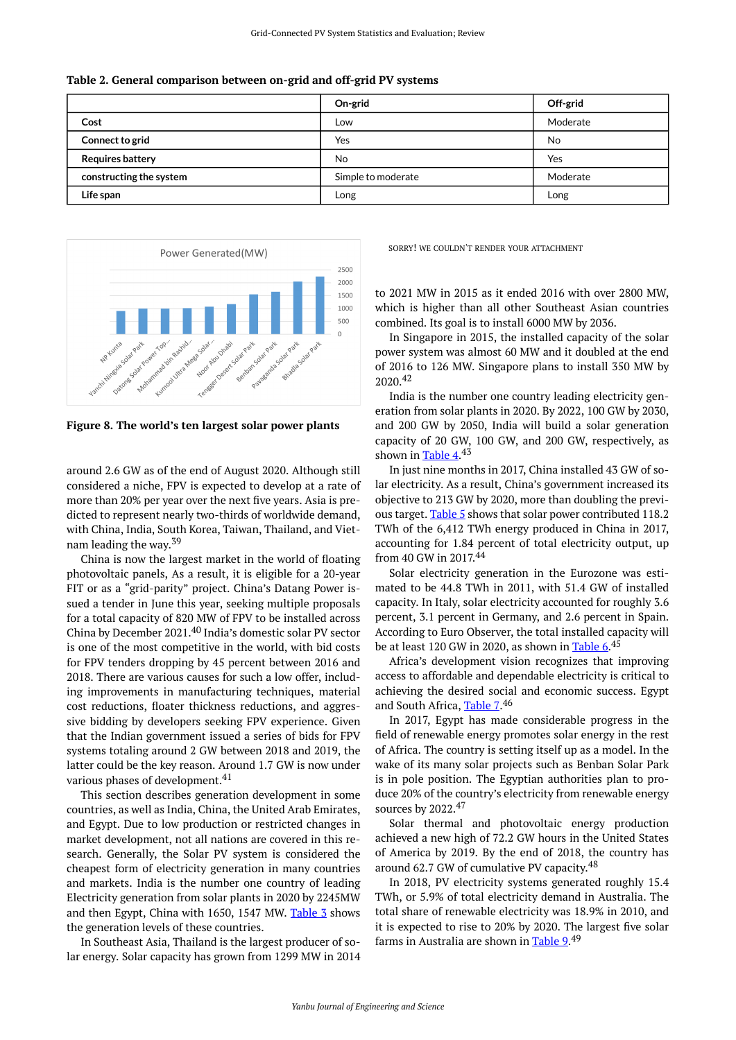<span id="page-4-0"></span>

|  | Table 2. General comparison between on-grid and off-grid PV systems |  |  |
|--|---------------------------------------------------------------------|--|--|
|  |                                                                     |  |  |

|                         | On-grid            | Off-grid |
|-------------------------|--------------------|----------|
| Cost                    | Low                | Moderate |
| Connect to grid         | Yes                | No       |
| <b>Requires battery</b> | No                 | Yes      |
| constructing the system | Simple to moderate | Moderate |
| Life span               | Long               | Long     |



**Figure 8. The world's ten largest solar power plants** 

around 2.6 GW as of the end of August 2020. Although still considered a niche, FPV is expected to develop at a rate of more than 20% per year over the next five years. Asia is predicted to represent nearly two-thirds of worldwide demand, with China, India, South Korea, Taiwan, Thailand, and Vietnam leading the way.<sup>39</sup>

China is now the largest market in the world of floating photovoltaic panels, As a result, it is eligible for a 20-year FIT or as a "grid-parity" project. China's Datang Power issued a tender in June this year, seeking multiple proposals for a total capacity of 820 MW of FPV to be installed across China by December 2021.<sup>40</sup> India's domestic solar PV sector is one of the most competitive in the world, with bid costs for FPV tenders dropping by 45 percent between 2016 and 2018. There are various causes for such a low offer, including improvements in manufacturing techniques, material cost reductions, floater thickness reductions, and aggressive bidding by developers seeking FPV experience. Given that the Indian government issued a series of bids for FPV systems totaling around 2 GW between 2018 and 2019, the latter could be the key reason. Around 1.7 GW is now under various phases of development.<sup>41</sup>

This section describes generation development in some countries, as well as India, China, the United Arab Emirates, and Egypt. Due to low production or restricted changes in market development, not all nations are covered in this research. Generally, the Solar PV system is considered the cheapest form of electricity generation in many countries and markets. India is the number one country of leading Electricity generation from solar plants in 2020 by 2245MW and then Egypt, China with 1650, 1547 MW. [Table 3](#page-5-0) shows the generation levels of these countries.

In Southeast Asia, Thailand is the largest producer of solar energy. Solar capacity has grown from 1299 MW in 2014 SORRY! WE COULDN'T RENDER YOUR ATTACHMENT

to 2021 MW in 2015 as it ended 2016 with over 2800 MW, which is higher than all other Southeast Asian countries combined. Its goal is to install 6000 MW by 2036.

In Singapore in 2015, the installed capacity of the solar power system was almost 60 MW and it doubled at the end of 2016 to 126 MW. Singapore plans to install 350 MW by 2020.<sup>42</sup>

India is the number one country leading electricity generation from solar plants in 2020. By 2022, 100 GW by 2030, and 200 GW by 2050, India will build a solar generation capacity of 20 GW, 100 GW, and 200 GW, respectively, as shown in [Table 4.](#page-5-1)<sup>43</sup>

In just nine months in 2017, China installed 43 GW of solar electricity. As a result, China's government increased its objective to 213 GW by 2020, more than doubling the previ-ous target. [Table 5](#page-5-2) shows that solar power contributed 118.2 TWh of the 6,412 TWh energy produced in China in 2017, accounting for 1.84 percent of total electricity output, up from 40 GW in 2017. 44

Solar electricity generation in the Eurozone was estimated to be 44.8 TWh in 2011, with 51.4 GW of installed capacity. In Italy, solar electricity accounted for roughly 3.6 percent, 3.1 percent in Germany, and 2.6 percent in Spain. According to Euro Observer, the total installed capacity will be at least 120 GW in 2020, as shown in <u>Table 6</u>.<sup>45</sup>

Africa's development vision recognizes that improving access to affordable and dependable electricity is critical to achieving the desired social and economic success. Egypt and South Africa, [Table 7](#page-5-3).46

In 2017, Egypt has made considerable progress in the field of renewable energy promotes solar energy in the rest of Africa. The country is setting itself up as a model. In the wake of its many solar projects such as Benban Solar Park is in pole position. The Egyptian authorities plan to produce 20% of the country's electricity from renewable energy sources by 2022.47

Solar thermal and photovoltaic energy production achieved a new high of 72.2 GW hours in the United States of America by 2019. By the end of 2018, the country has around 62.7 GW of cumulative PV capacity.<sup>48</sup>

In 2018, PV electricity systems generated roughly 15.4 TWh, or 5.9% of total electricity demand in Australia. The total share of renewable electricity was 18.9% in 2010, and it is expected to rise to 20% by 2020. The largest five solar farms in Australia are shown in [Table 9.](#page-6-0)<sup>49</sup>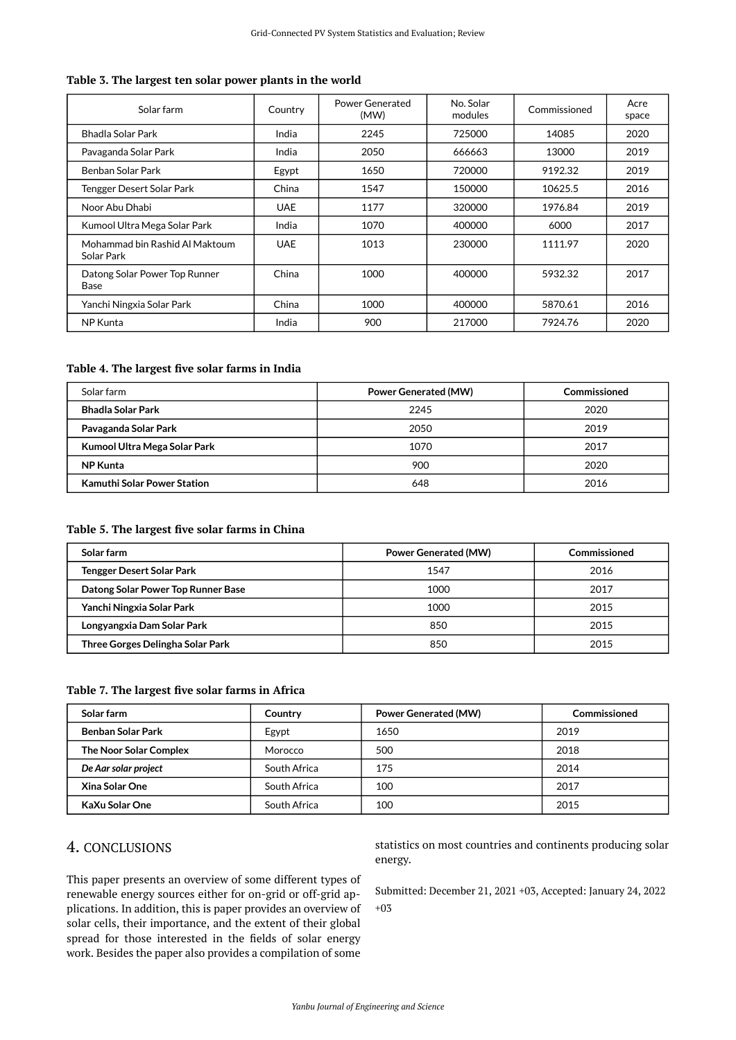#### <span id="page-5-0"></span>**Table 3. The largest ten solar power plants in the world**

| Solar farm                                   | Country    | Power Generated<br>(MW) | No. Solar<br>modules | Commissioned | Acre<br>space |
|----------------------------------------------|------------|-------------------------|----------------------|--------------|---------------|
| Bhadla Solar Park                            | India      | 2245                    | 725000               | 14085        | 2020          |
| Pavaganda Solar Park                         | India      | 2050                    | 666663               | 13000        | 2019          |
| Benban Solar Park                            | Egypt      | 1650                    | 720000               | 9192.32      | 2019          |
| Tengger Desert Solar Park                    | China      | 1547                    | 150000               | 10625.5      | 2016          |
| Noor Abu Dhabi                               | <b>UAE</b> | 1177                    | 320000               | 1976.84      | 2019          |
| Kumool Ultra Mega Solar Park                 | India      | 1070                    | 400000               | 6000         | 2017          |
| Mohammad bin Rashid Al Maktoum<br>Solar Park | <b>UAE</b> | 1013                    | 230000               | 1111.97      | 2020          |
| Datong Solar Power Top Runner<br>Base        | China      | 1000                    | 400000               | 5932.32      | 2017          |
| Yanchi Ningxia Solar Park                    | China      | 1000                    | 400000               | 5870.61      | 2016          |
| NP Kunta                                     | India      | 900                     | 217000               | 7924.76      | 2020          |

#### <span id="page-5-1"></span>**Table 4. The largest five solar farms in India**

| Solar farm                         | <b>Power Generated (MW)</b> | Commissioned |  |
|------------------------------------|-----------------------------|--------------|--|
| <b>Bhadla Solar Park</b>           | 2245                        | 2020         |  |
| Pavaganda Solar Park               | 2050                        | 2019         |  |
| Kumool Ultra Mega Solar Park       | 1070                        | 2017         |  |
| <b>NP Kunta</b>                    | 900                         | 2020         |  |
| <b>Kamuthi Solar Power Station</b> | 648                         | 2016         |  |

#### <span id="page-5-2"></span>**Table 5. The largest five solar farms in China**

| Solar farm                         | <b>Power Generated (MW)</b> | Commissioned |  |
|------------------------------------|-----------------------------|--------------|--|
| <b>Tengger Desert Solar Park</b>   | 1547                        | 2016         |  |
| Datong Solar Power Top Runner Base | 1000                        | 2017         |  |
| Yanchi Ningxia Solar Park          | 1000                        | 2015         |  |
| Longyangxia Dam Solar Park         | 850                         | 2015         |  |
| Three Gorges Delingha Solar Park   | 850                         | 2015         |  |

#### <span id="page-5-3"></span>**Table 7. The largest five solar farms in Africa**

| Solar farm               | Country      | <b>Power Generated (MW)</b> | Commissioned |
|--------------------------|--------------|-----------------------------|--------------|
| <b>Benban Solar Park</b> | Egypt        | 1650                        | 2019         |
| The Noor Solar Complex   | Morocco      | 500                         | 2018         |
| De Aar solar project     | South Africa | 175                         | 2014         |
| Xina Solar One           | South Africa | 100                         | 2017         |
| KaXu Solar One           | South Africa | 100                         | 2015         |

# 4. CONCLUSIONS

This paper presents an overview of some different types of renewable energy sources either for on-grid or off-grid applications. In addition, this is paper provides an overview of solar cells, their importance, and the extent of their global spread for those interested in the fields of solar energy work. Besides the paper also provides a compilation of some

statistics on most countries and continents producing solar energy.

Submitted: December 21, 2021 +03, Accepted: January 24, 2022 +03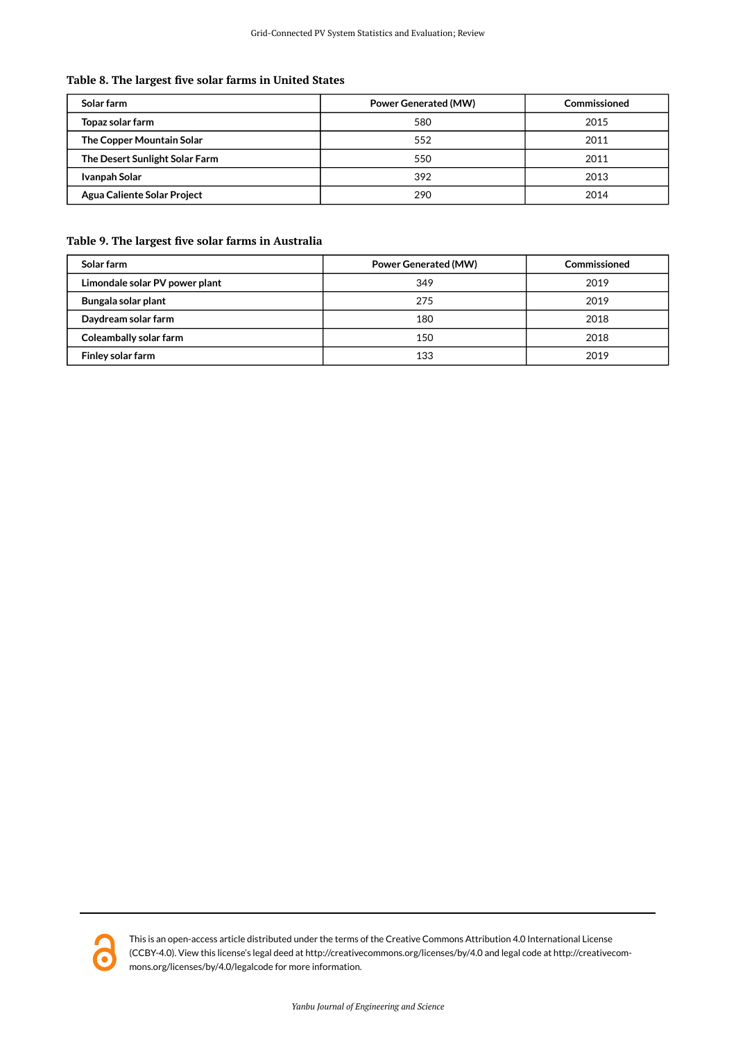## **Table 8. The largest five solar farms in United States**

| Solar farm                     | <b>Power Generated (MW)</b> | Commissioned |  |
|--------------------------------|-----------------------------|--------------|--|
| Topaz solar farm               | 580                         | 2015         |  |
| The Copper Mountain Solar      | 552                         | 2011         |  |
| The Desert Sunlight Solar Farm | 550                         | 2011         |  |
| Ivanpah Solar                  | 392                         | 2013         |  |
| Agua Caliente Solar Project    | 290                         | 2014         |  |

## <span id="page-6-0"></span>**Table 9. The largest five solar farms in Australia**

| Solar farm                     | <b>Power Generated (MW)</b> | Commissioned |  |
|--------------------------------|-----------------------------|--------------|--|
| Limondale solar PV power plant | 349                         | 2019         |  |
| Bungala solar plant            | 275                         | 2019         |  |
| Daydream solar farm            | 180                         | 2018         |  |
| Coleambally solar farm         | 150                         | 2018         |  |
| Finley solar farm              | 133                         | 2019         |  |



This is an open-access article distributed under the terms of the Creative Commons Attribution 4.0 International License (CCBY-4.0). View this license's legal deed at http://creativecommons.org/licenses/by/4.0 and legal code at http://creativecommons.org/licenses/by/4.0/legalcode for more information.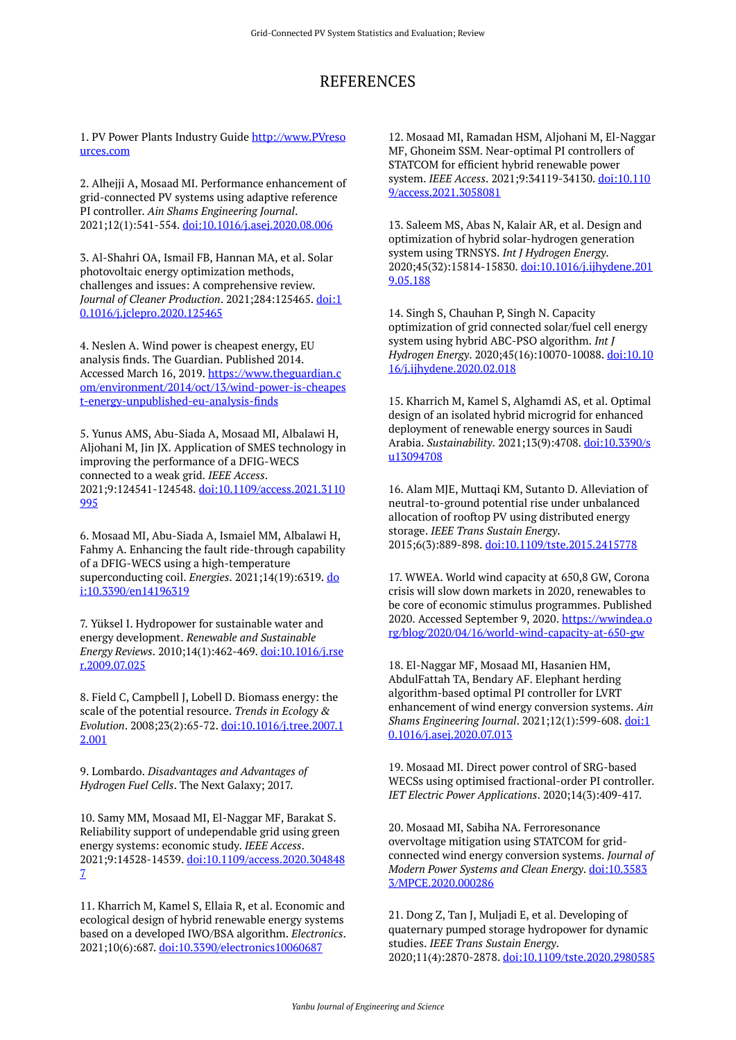# REFERENCES

1. PV Power Plants Industry Guide [http://www.PVreso](http://www.pvresources.com/) [urces.com](http://www.pvresources.com/)

2. Alhejji A, Mosaad MI. Performance enhancement of grid-connected PV systems using adaptive reference PI controller. *Ain Shams Engineering Journal*. 2021;12(1):541-554. [doi:10.1016/j.asej.2020.08.006](https://doi.org/10.1016/j.asej.2020.08.006)

3. Al-Shahri OA, Ismail FB, Hannan MA, et al. Solar photovoltaic energy optimization methods, challenges and issues: A comprehensive review. *Journal of Cleaner Production*. 2021;284:125465. [doi:1](https://doi.org/10.1016/j.jclepro.2020.125465) [0.1016/j.jclepro.2020.125465](https://doi.org/10.1016/j.jclepro.2020.125465)

4. Neslen A. Wind power is cheapest energy, EU analysis finds. The Guardian. Published 2014. Accessed March 16, 2019. [https://www.theguardian.c](https://www.theguardian.com/environment/2014/oct/13/wind-power-is-cheapest-energy-unpublished-eu-analysis-finds) [om/environment/2014/oct/13/wind-power-is-cheapes](https://www.theguardian.com/environment/2014/oct/13/wind-power-is-cheapest-energy-unpublished-eu-analysis-finds) [t-energy-unpublished-eu-analysis-finds](https://www.theguardian.com/environment/2014/oct/13/wind-power-is-cheapest-energy-unpublished-eu-analysis-finds)

5. Yunus AMS, Abu-Siada A, Mosaad MI, Albalawi H, Aljohani M, Jin JX. Application of SMES technology in improving the performance of a DFIG-WECS connected to a weak grid. *IEEE Access*. 2021;9:124541-124548. [doi:10.1109/access.2021.3110](https://doi.org/10.1109/access.2021.3110995) [995](https://doi.org/10.1109/access.2021.3110995)

6. Mosaad MI, Abu-Siada A, Ismaiel MM, Albalawi H, Fahmy A. Enhancing the fault ride-through capability of a DFIG-WECS using a high-temperature superconducting coil. *Energies*. 2021;14(19):6319. [do](https://doi.org/10.3390/en14196319) [i:10.3390/en14196319](https://doi.org/10.3390/en14196319)

7. Yüksel I. Hydropower for sustainable water and energy development. *Renewable and Sustainable Energy Reviews*. 2010;14(1):462-469. [doi:10.1016/j.rse](https://doi.org/10.1016/j.rser.2009.07.025) [r.2009.07.025](https://doi.org/10.1016/j.rser.2009.07.025) 

8. Field C, Campbell J, Lobell D. Biomass energy: the scale of the potential resource. *Trends in Ecology & Evolution*. 2008;23(2):65-72. [doi:10.1016/j.tree.2007.1](https://doi.org/10.1016/j.tree.2007.12.001) [2.001](https://doi.org/10.1016/j.tree.2007.12.001)

9. Lombardo. *Disadvantages and Advantages of Hydrogen Fuel Cells*. The Next Galaxy; 2017.

10. Samy MM, Mosaad MI, El-Naggar MF, Barakat S. Reliability support of undependable grid using green energy systems: economic study. *IEEE Access*. 2021;9:14528-14539. [doi:10.1109/access.2020.304848](https://doi.org/10.1109/access.2020.3048487) [7](https://doi.org/10.1109/access.2020.3048487) 

11. Kharrich M, Kamel S, Ellaia R, et al. Economic and ecological design of hybrid renewable energy systems based on a developed IWO/BSA algorithm. *Electronics*. 2021;10(6):687. [doi:10.3390/electronics10060687](https://doi.org/10.3390/electronics10060687) 

12. Mosaad MI, Ramadan HSM, Aljohani M, El-Naggar MF, Ghoneim SSM. Near-optimal PI controllers of STATCOM for efficient hybrid renewable power system. *IEEE Access*. 2021;9:34119-34130. [doi:10.110](https://doi.org/10.1109/access.2021.3058081) [9/access.2021.3058081](https://doi.org/10.1109/access.2021.3058081)

13. Saleem MS, Abas N, Kalair AR, et al. Design and optimization of hybrid solar-hydrogen generation system using TRNSYS. *Int J Hydrogen Energy*. 2020;45(32):15814-15830. [doi:10.1016/j.ijhydene.201](https://doi.org/10.1016/j.ijhydene.2019.05.188) [9.05.188](https://doi.org/10.1016/j.ijhydene.2019.05.188)

14. Singh S, Chauhan P, Singh N. Capacity optimization of grid connected solar/fuel cell energy system using hybrid ABC-PSO algorithm. *Int J Hydrogen Energy*. 2020;45(16):10070-10088. [doi:10.10](https://doi.org/10.1016/j.ijhydene.2020.02.018) [16/j.ijhydene.2020.02.018](https://doi.org/10.1016/j.ijhydene.2020.02.018)

15. Kharrich M, Kamel S, Alghamdi AS, et al. Optimal design of an isolated hybrid microgrid for enhanced deployment of renewable energy sources in Saudi Arabia. *Sustainability*. 2021;13(9):4708. [doi:10.3390/s](https://doi.org/10.3390/su13094708) [u13094708](https://doi.org/10.3390/su13094708) 

16. Alam MJE, Muttaqi KM, Sutanto D. Alleviation of neutral-to-ground potential rise under unbalanced allocation of rooftop PV using distributed energy storage. *IEEE Trans Sustain Energy*. 2015;6(3):889-898. [doi:10.1109/tste.2015.2415778](https://doi.org/10.1109/tste.2015.2415778) 

17. WWEA. World wind capacity at 650,8 GW, Corona crisis will slow down markets in 2020, renewables to be core of economic stimulus programmes. Published 2020. Accessed September 9, 2020. [https://wwindea.o](https://wwindea.org/blog/2020/04/16/world-wind-capacity-at-650-gw) [rg/blog/2020/04/16/world-wind-capacity-at-650-gw](https://wwindea.org/blog/2020/04/16/world-wind-capacity-at-650-gw)

18. El-Naggar MF, Mosaad MI, Hasanien HM, AbdulFattah TA, Bendary AF. Elephant herding algorithm-based optimal PI controller for LVRT enhancement of wind energy conversion systems. *Ain Shams Engineering Journal*. 2021;12(1):599-608. [doi:1](https://doi.org/10.1016/j.asej.2020.07.013) [0.1016/j.asej.2020.07.013](https://doi.org/10.1016/j.asej.2020.07.013)

19. Mosaad MI. Direct power control of SRG-based WECSs using optimised fractional-order PI controller. *IET Electric Power Applications*. 2020;14(3):409-417.

20. Mosaad MI, Sabiha NA. Ferroresonance overvoltage mitigation using STATCOM for gridconnected wind energy conversion systems. *Journal of Modern Power Systems and Clean Energy*. [doi:10.3583](https://doi.org/10.35833/MPCE.2020.000286) [3/MPCE.2020.000286](https://doi.org/10.35833/MPCE.2020.000286)

21. Dong Z, Tan J, Muljadi E, et al. Developing of quaternary pumped storage hydropower for dynamic studies. *IEEE Trans Sustain Energy*. 2020;11(4):2870-2878. [doi:10.1109/tste.2020.2980585](https://doi.org/10.1109/tste.2020.2980585)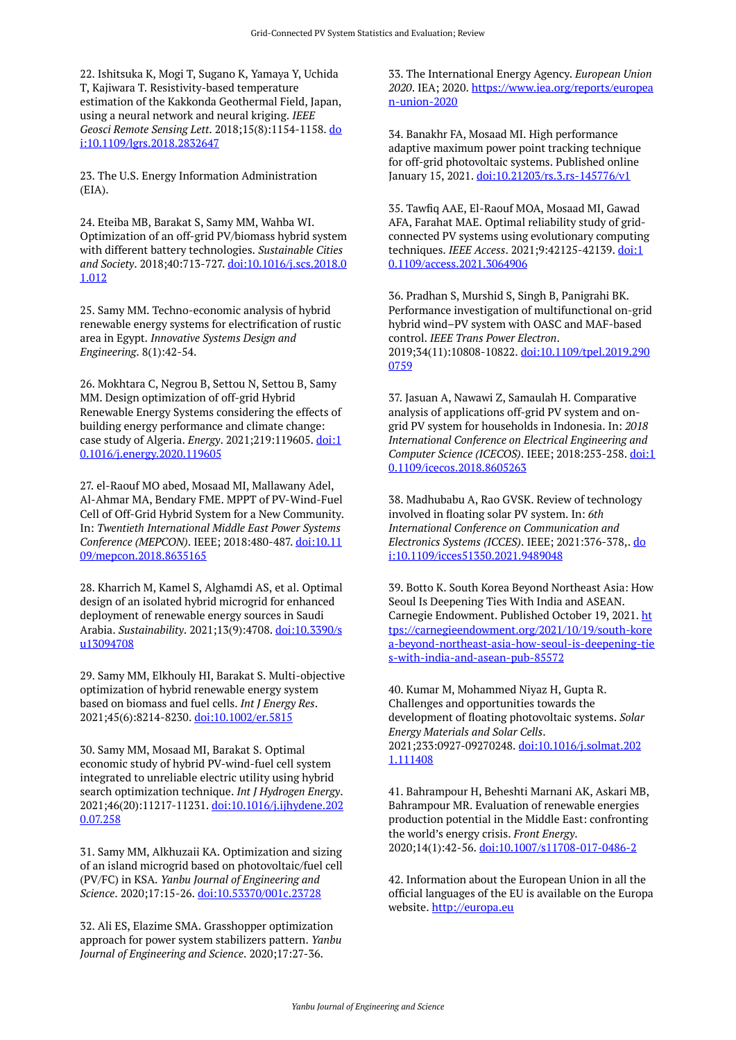22. Ishitsuka K, Mogi T, Sugano K, Yamaya Y, Uchida T, Kajiwara T. Resistivity-based temperature estimation of the Kakkonda Geothermal Field, Japan, using a neural network and neural kriging. *IEEE Geosci Remote Sensing Lett*. 2018;15(8):1154-1158. [do](https://doi.org/10.1109/lgrs.2018.2832647) [i:10.1109/lgrs.2018.2832647](https://doi.org/10.1109/lgrs.2018.2832647)

23. The U.S. Energy Information Administration (EIA).

24. Eteiba MB, Barakat S, Samy MM, Wahba WI. Optimization of an off-grid PV/biomass hybrid system with different battery technologies. *Sustainable Cities and Society*. 2018;40:713-727. [doi:10.1016/j.scs.2018.0](https://doi.org/10.1016/j.scs.2018.01.012) [1.012](https://doi.org/10.1016/j.scs.2018.01.012)

25. Samy MM. Techno-economic analysis of hybrid renewable energy systems for electrification of rustic area in Egypt. *Innovative Systems Design and Engineering*. 8(1):42-54.

26. Mokhtara C, Negrou B, Settou N, Settou B, Samy MM. Design optimization of off-grid Hybrid Renewable Energy Systems considering the effects of building energy performance and climate change: case study of Algeria. *Energy*. 2021;219:119605. [doi:1](https://doi.org/10.1016/j.energy.2020.119605) [0.1016/j.energy.2020.119605](https://doi.org/10.1016/j.energy.2020.119605)

27. el-Raouf MO abed, Mosaad MI, Mallawany Adel, Al-Ahmar MA, Bendary FME. MPPT of PV-Wind-Fuel Cell of Off-Grid Hybrid System for a New Community. In: *Twentieth International Middle East Power Systems Conference (MEPCON)*. IEEE; 2018:480-487. [doi:10.11](https://doi.org/10.1109/mepcon.2018.8635165) [09/mepcon.2018.8635165](https://doi.org/10.1109/mepcon.2018.8635165)

28. Kharrich M, Kamel S, Alghamdi AS, et al. Optimal design of an isolated hybrid microgrid for enhanced deployment of renewable energy sources in Saudi Arabia. *Sustainability*. 2021;13(9):4708. [doi:10.3390/s](https://doi.org/10.3390/su13094708) [u13094708](https://doi.org/10.3390/su13094708)

29. Samy MM, Elkhouly HI, Barakat S. Multi-objective optimization of hybrid renewable energy system based on biomass and fuel cells. *Int J Energy Res*. 2021;45(6):8214-8230. [doi:10.1002/er.5815](https://doi.org/10.1002/er.5815) 

30. Samy MM, Mosaad MI, Barakat S. Optimal economic study of hybrid PV-wind-fuel cell system integrated to unreliable electric utility using hybrid search optimization technique. *Int J Hydrogen Energy*. 2021;46(20):11217-11231. [doi:10.1016/j.ijhydene.202](https://doi.org/10.1016/j.ijhydene.2020.07.258) [0.07.258](https://doi.org/10.1016/j.ijhydene.2020.07.258) 

31. Samy MM, Alkhuzaii KA. Optimization and sizing of an island microgrid based on photovoltaic/fuel cell (PV/FC) in KSA. *Yanbu Journal of Engineering and Science*. 2020;17:15-26. [doi:10.53370/001c.23728](https://doi.org/10.53370/001c.23728) 

32. Ali ES, Elazime SMA. Grasshopper optimization approach for power system stabilizers pattern. *Yanbu Journal of Engineering and Science*. 2020;17:27-36.

33. The International Energy Agency. *European Union 2020*. IEA; 2020. [https://www.iea.org/reports/europea](https://www.iea.org/reports/european-union-2020) [n-union-2020](https://www.iea.org/reports/european-union-2020)

34. Banakhr FA, Mosaad MI. High performance adaptive maximum power point tracking technique for off-grid photovoltaic systems. Published online January 15, 2021. [doi:10.21203/rs.3.rs-145776/v1](https://doi.org/10.21203/rs.3.rs-145776/v1)

35. Tawfiq AAE, El-Raouf MOA, Mosaad MI, Gawad AFA, Farahat MAE. Optimal reliability study of gridconnected PV systems using evolutionary computing techniques. *IEEE Access*. 2021;9:42125-42139. [doi:1](https://doi.org/10.1109/access.2021.3064906) [0.1109/access.2021.3064906](https://doi.org/10.1109/access.2021.3064906) 

36. Pradhan S, Murshid S, Singh B, Panigrahi BK. Performance investigation of multifunctional on-grid hybrid wind–PV system with OASC and MAF-based control. *IEEE Trans Power Electron*. 2019;34(11):10808-10822. [doi:10.1109/tpel.2019.290](https://doi.org/10.1109/tpel.2019.2900759) [0759](https://doi.org/10.1109/tpel.2019.2900759) 

37. Jasuan A, Nawawi Z, Samaulah H. Comparative analysis of applications off-grid PV system and ongrid PV system for households in Indonesia. In: *2018 International Conference on Electrical Engineering and Computer Science (ICECOS)*. IEEE; 2018:253-258. [doi:1](https://doi.org/10.1109/icecos.2018.8605263) [0.1109/icecos.2018.8605263](https://doi.org/10.1109/icecos.2018.8605263) 

38. Madhubabu A, Rao GVSK. Review of technology involved in floating solar PV system. In: *6th International Conference on Communication and Electronics Systems (ICCES)*. IEEE; 2021:376-378,. [do](https://doi.org/10.1109/icces51350.2021.9489048) [i:10.1109/icces51350.2021.9489048](https://doi.org/10.1109/icces51350.2021.9489048)

39. Botto K. South Korea Beyond Northeast Asia: How Seoul Is Deepening Ties With India and ASEAN. Carnegie Endowment. Published October 19, 2021. [ht](https://carnegieendowment.org/2021/10/19/south-korea-beyond-northeast-asia-how-seoul-is-deepening-ties-with-india-and-asean-pub-85572) [tps://carnegieendowment.org/2021/10/19/south-kore](https://carnegieendowment.org/2021/10/19/south-korea-beyond-northeast-asia-how-seoul-is-deepening-ties-with-india-and-asean-pub-85572) [a-beyond-northeast-asia-how-seoul-is-deepening-tie](https://carnegieendowment.org/2021/10/19/south-korea-beyond-northeast-asia-how-seoul-is-deepening-ties-with-india-and-asean-pub-85572) [s-with-india-and-asean-pub-85572](https://carnegieendowment.org/2021/10/19/south-korea-beyond-northeast-asia-how-seoul-is-deepening-ties-with-india-and-asean-pub-85572)

40. Kumar M, Mohammed Niyaz H, Gupta R. Challenges and opportunities towards the development of floating photovoltaic systems. *Solar Energy Materials and Solar Cells*. 2021;233:0927-09270248. [doi:10.1016/j.solmat.202](https://doi.org/10.1016/j.solmat.2021.111408) [1.111408](https://doi.org/10.1016/j.solmat.2021.111408) 

41. Bahrampour H, Beheshti Marnani AK, Askari MB, Bahrampour MR. Evaluation of renewable energies production potential in the Middle East: confronting the world's energy crisis. *Front Energy*. 2020;14(1):42-56. [doi:10.1007/s11708-017-0486-2](https://doi.org/10.1007/s11708-017-0486-2)

42. Information about the European Union in all the official languages of the EU is available on the Europa website. [http://europa.eu](http://europa.eu/)